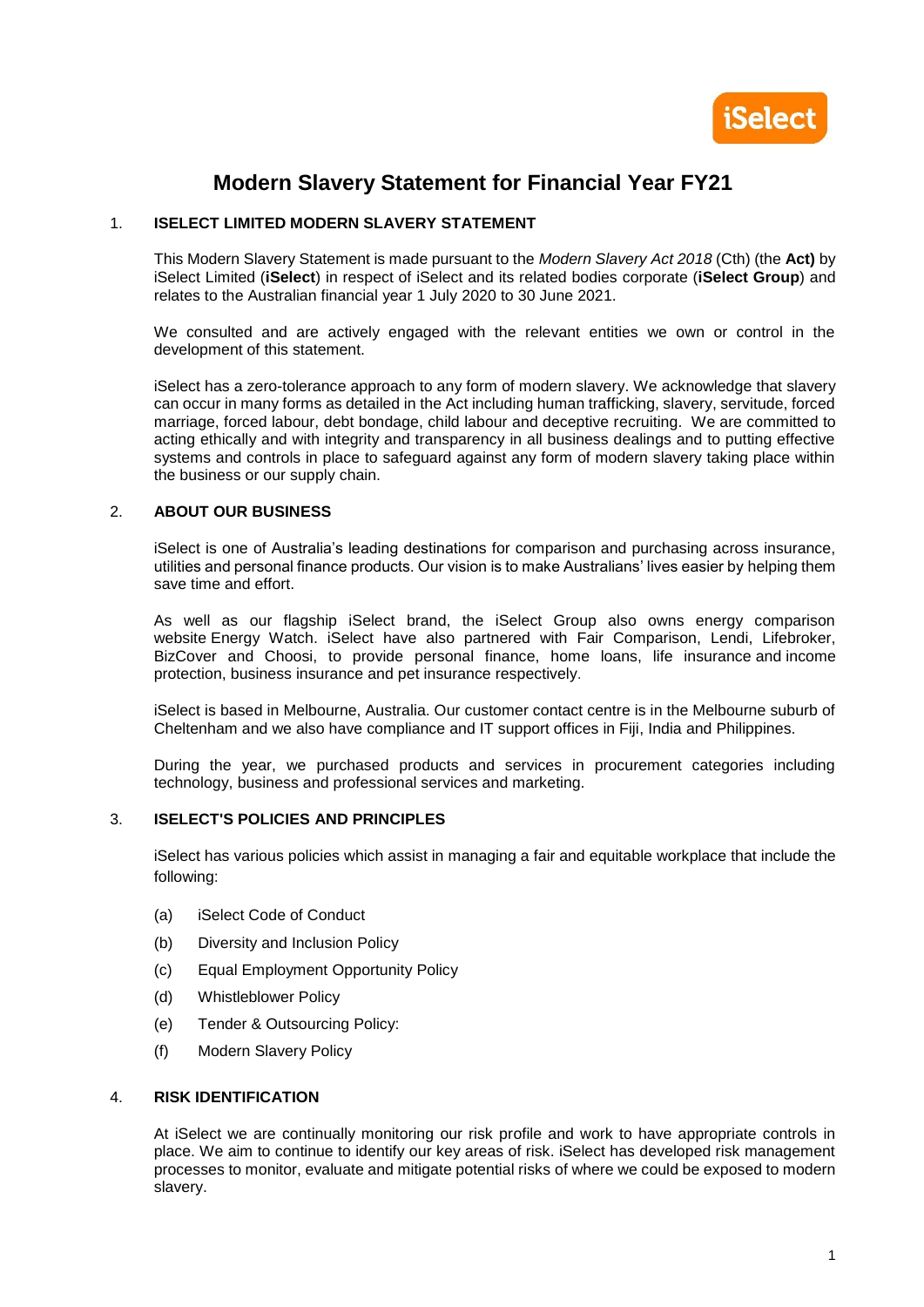

# **Modern Slavery Statement for Financial Year FY21**

## 1. **ISELECT LIMITED MODERN SLAVERY STATEMENT**

This Modern Slavery Statement is made pursuant to the *Modern Slavery Act 2018* (Cth) (the **Act)** by iSelect Limited (**iSelect**) in respect of iSelect and its related bodies corporate (**iSelect Group**) and relates to the Australian financial year 1 July 2020 to 30 June 2021.

We consulted and are actively engaged with the relevant entities we own or control in the development of this statement.

iSelect has a zero-tolerance approach to any form of modern slavery. We acknowledge that slavery can occur in many forms as detailed in the Act including human trafficking, slavery, servitude, forced marriage, forced labour, debt bondage, child labour and deceptive recruiting. We are committed to acting ethically and with integrity and transparency in all business dealings and to putting effective systems and controls in place to safeguard against any form of modern slavery taking place within the business or our supply chain.

## 2. **ABOUT OUR BUSINESS**

iSelect is one of Australia's leading destinations for comparison and purchasing across insurance, utilities and personal finance products. Our vision is to make Australians' lives easier by helping them save time and effort.

As well as our flagship iSelect brand, the iSelect Group also owns energy comparison website [Energy Watch.](http://www.energywatch.com.au/) iSelect have also partnered with Fair Comparison, Lendi, Lifebroker, BizCover and Choosi, to provide personal finance, home loans, [life insurance](https://www.iselect.com.au/life/) and [income](https://www.iselect.com.au/life/income-protection-insurance)  [protection,](https://www.iselect.com.au/life/income-protection-insurance) [business insurance](https://www.iselect.com.au/business-insurance/) and [pet insurance](https://www.iselect.com.au/pet-insurance/) respectively.

iSelect is based in Melbourne, Australia. Our customer contact centre is in the Melbourne suburb of Cheltenham and we also have compliance and IT support offices in Fiji, India and Philippines.

During the year, we purchased products and services in procurement categories including technology, business and professional services and marketing.

### 3. **ISELECT'S POLICIES AND PRINCIPLES**

iSelect has various policies which assist in managing a fair and equitable workplace that include the following:

- (a) iSelect Code of Conduct
- (b) Diversity and Inclusion Policy
- (c) Equal Employment Opportunity Policy
- (d) Whistleblower Policy
- (e) Tender & Outsourcing Policy:
- (f) Modern Slavery Policy

# 4. **RISK IDENTIFICATION**

At iSelect we are continually monitoring our risk profile and work to have appropriate controls in place. We aim to continue to identify our key areas of risk. iSelect has developed risk management processes to monitor, evaluate and mitigate potential risks of where we could be exposed to modern slavery.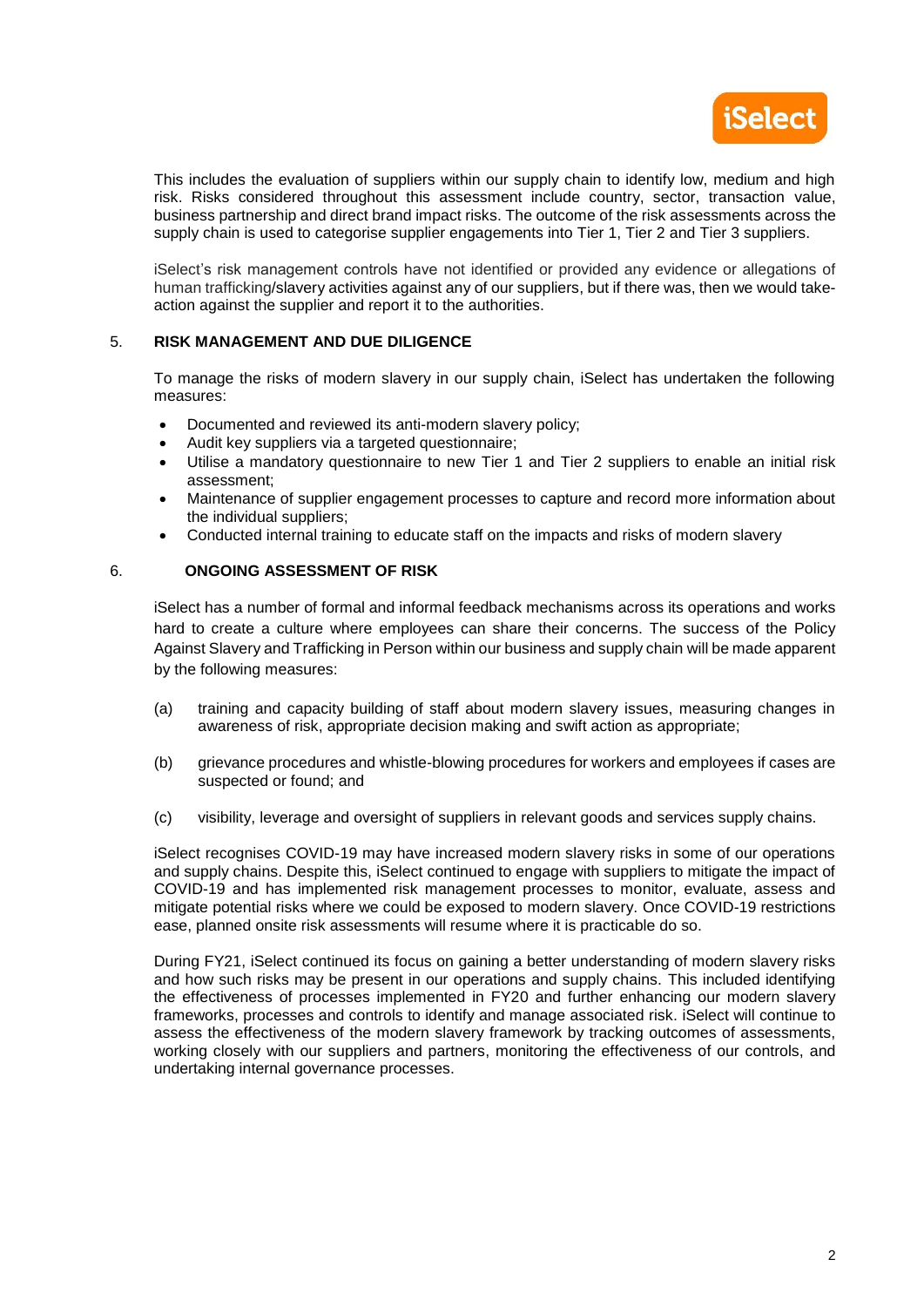

This includes the evaluation of suppliers within our supply chain to identify low, medium and high risk. Risks considered throughout this assessment include country, sector, transaction value, business partnership and direct brand impact risks. The outcome of the risk assessments across the supply chain is used to categorise supplier engagements into Tier 1, Tier 2 and Tier 3 suppliers.

iSelect's risk management controls have not identified or provided any evidence or allegations of human trafficking/slavery activities against any of our suppliers, but if there was, then we would takeaction against the supplier and report it to the authorities.

## 5. **RISK MANAGEMENT AND DUE DILIGENCE**

To manage the risks of modern slavery in our supply chain, iSelect has undertaken the following measures:

- Documented and reviewed its anti-modern slavery policy;
- Audit key suppliers via a targeted questionnaire;
- Utilise a mandatory questionnaire to new Tier 1 and Tier 2 suppliers to enable an initial risk assessment;
- Maintenance of supplier engagement processes to capture and record more information about the individual suppliers;
- Conducted internal training to educate staff on the impacts and risks of modern slavery

## 6. **ONGOING ASSESSMENT OF RISK**

iSelect has a number of formal and informal feedback mechanisms across its operations and works hard to create a culture where employees can share their concerns. The success of the Policy Against Slavery and Trafficking in Person within our business and supply chain will be made apparent by the following measures:

- (a) training and capacity building of staff about modern slavery issues, measuring changes in awareness of risk, appropriate decision making and swift action as appropriate;
- (b) grievance procedures and whistle-blowing procedures for workers and employees if cases are suspected or found; and
- (c) visibility, leverage and oversight of suppliers in relevant goods and services supply chains.

iSelect recognises COVID-19 may have increased modern slavery risks in some of our operations and supply chains. Despite this, iSelect continued to engage with suppliers to mitigate the impact of COVID-19 and has implemented risk management processes to monitor, evaluate, assess and mitigate potential risks where we could be exposed to modern slavery. Once COVID-19 restrictions ease, planned onsite risk assessments will resume where it is practicable do so.

During FY21, iSelect continued its focus on gaining a better understanding of modern slavery risks and how such risks may be present in our operations and supply chains. This included identifying the effectiveness of processes implemented in FY20 and further enhancing our modern slavery frameworks, processes and controls to identify and manage associated risk. iSelect will continue to assess the effectiveness of the modern slavery framework by tracking outcomes of assessments, working closely with our suppliers and partners, monitoring the effectiveness of our controls, and undertaking internal governance processes.